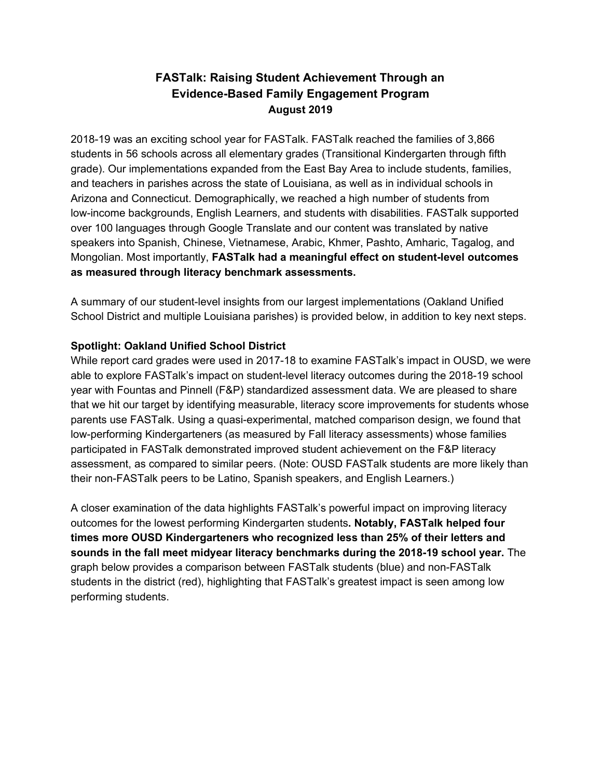## **FASTalk: Raising Student Achievement Through an Evidence-Based Family Engagement Program August 2019**

2018-19 was an exciting school year for FASTalk. FASTalk reached the families of 3,866 students in 56 schools across all elementary grades (Transitional Kindergarten through fifth grade). Our implementations expanded from the East Bay Area to include students, families, and teachers in parishes across the state of Louisiana, as well as in individual schools in Arizona and Connecticut. Demographically, we reached a high number of students from low-income backgrounds, English Learners, and students with disabilities. FASTalk supported over 100 languages through Google Translate and our content was translated by native speakers into Spanish, Chinese, Vietnamese, Arabic, Khmer, Pashto, Amharic, Tagalog, and Mongolian. Most importantly, **FASTalk had a meaningful effect on student-level outcomes as measured through literacy benchmark assessments.**

A summary of our student-level insights from our largest implementations (Oakland Unified School District and multiple Louisiana parishes) is provided below, in addition to key next steps.

## **Spotlight: Oakland Unified School District**

While report card grades were used in 2017-18 to examine FASTalk's impact in OUSD, we were able to explore FASTalk's impact on student-level literacy outcomes during the 2018-19 school year with Fountas and Pinnell (F&P) standardized assessment data. We are pleased to share that we hit our target by identifying measurable, literacy score improvements for students whose parents use FASTalk. Using a quasi-experimental, matched comparison design, we found that low-performing Kindergarteners (as measured by Fall literacy assessments) whose families participated in FASTalk demonstrated improved student achievement on the F&P literacy assessment, as compared to similar peers. (Note: OUSD FASTalk students are more likely than their non-FASTalk peers to be Latino, Spanish speakers, and English Learners.)

A closer examination of the data highlights FASTalk's powerful impact on improving literacy outcomes for the lowest performing Kindergarten students**. Notably, FASTalk helped four times more OUSD Kindergarteners who recognized less than 25% of their letters and sounds in the fall meet midyear literacy benchmarks during the 2018-19 school year.** The graph below provides a comparison between FASTalk students (blue) and non-FASTalk students in the district (red), highlighting that FASTalk's greatest impact is seen among low performing students.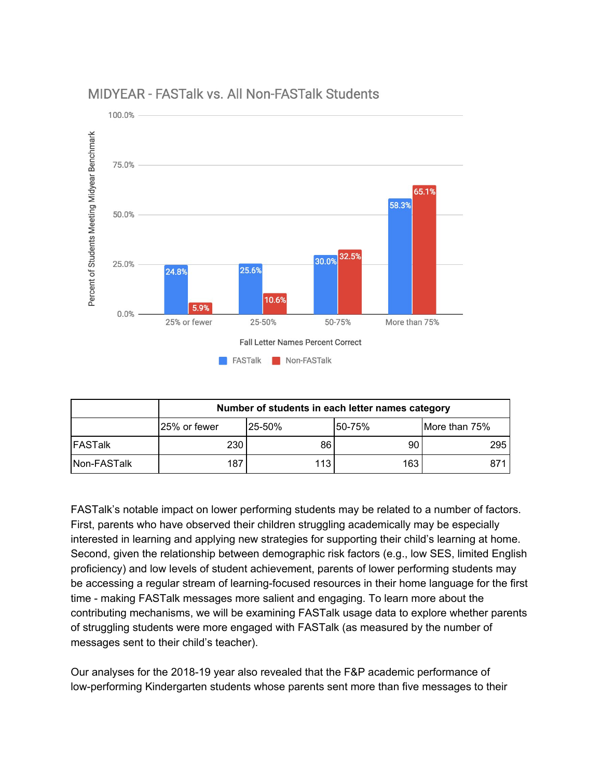

## MIDYEAR - FASTalk vs. All Non-FASTalk Students

|              | Number of students in each letter names category |         |        |               |
|--------------|--------------------------------------------------|---------|--------|---------------|
|              | 25% or fewer                                     | l25-50% | 50-75% | More than 75% |
| IFASTalk     | 230                                              | 86      | 90     | 295           |
| lNon-FASTalk | 187                                              | 113     | 163    | 871           |

FASTalk's notable impact on lower performing students may be related to a number of factors. First, parents who have observed their children struggling academically may be especially interested in learning and applying new strategies for supporting their child's learning at home. Second, given the relationship between demographic risk factors (e.g., low SES, limited English proficiency) and low levels of student achievement, parents of lower performing students may be accessing a regular stream of learning-focused resources in their home language for the first time - making FASTalk messages more salient and engaging. To learn more about the contributing mechanisms, we will be examining FASTalk usage data to explore whether parents of struggling students were more engaged with FASTalk (as measured by the number of messages sent to their child's teacher).

Our analyses for the 2018-19 year also revealed that the F&P academic performance of low-performing Kindergarten students whose parents sent more than five messages to their